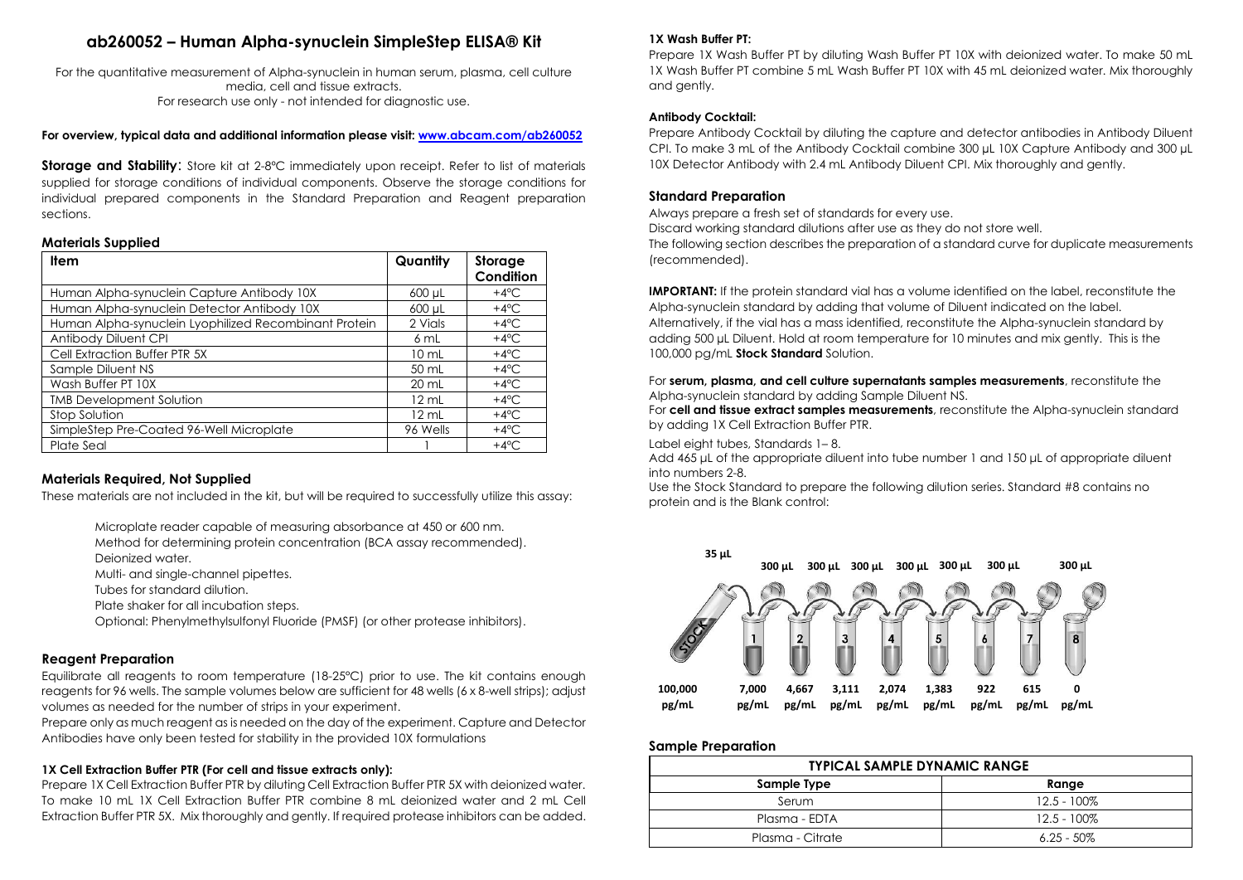# **ab260052 – Human Alpha-synuclein SimpleStep ELISA® Kit**

For the quantitative measurement of Alpha-synuclein in human serum, plasma, cell culture media, cell and tissue extracts. For research use only - not intended for diagnostic use.

**For overview, typical data and additional information please visit[: www.abcam.com/ab260052](http://www.abcam.com/ab260052)**

**Storage and Stability:** Store kit at 2-8°C immediately upon receipt. Refer to list of materials supplied for storage conditions of individual components. Observe the storage conditions for individual prepared components in the Standard Preparation and Reagent preparation sections.

#### **Materials Supplied**

| <b>Item</b>                                           | Quantity          | Storage        |
|-------------------------------------------------------|-------------------|----------------|
|                                                       |                   | Condition      |
| Human Alpha-synuclein Capture Antibody 10X            | 600 µL            | +4 $\rm ^{o}C$ |
| Human Alpha-synuclein Detector Antibody 10X           | 600 µL            | $+4^{\circ}$ C |
| Human Alpha-synuclein Lyophilized Recombinant Protein | 2 Vials           | +4 $\rm ^{o}C$ |
| Antibody Diluent CPI                                  | 6mL               | $+4^{\circ}$ C |
| Cell Extraction Buffer PTR 5X                         | $10 \mathrm{m}$ L | $+4^{\circ}$ C |
| Sample Diluent NS                                     | $50 \text{ mL}$   | $+4^{\circ}$ C |
| Wash Buffer PT 10X                                    | $20 \text{ mL}$   | +4 $\rm ^{o}C$ |
| <b>TMB Development Solution</b>                       | $12 \text{ mL}$   | $+4^{\circ}$ C |
| Stop Solution                                         | $12 \text{ mL}$   | $+4^{\circ}$ C |
| SimpleStep Pre-Coated 96-Well Microplate              | 96 Wells          | $+4^{\circ}$ C |
| Plate Seal                                            |                   | $+4^{\circ}$ C |

## **Materials Required, Not Supplied**

These materials are not included in the kit, but will be required to successfully utilize this assay:

Microplate reader capable of measuring absorbance at 450 or 600 nm.

Method for determining protein concentration (BCA assay recommended). Deionized water.

Multi- and single-channel pipettes.

Tubes for standard dilution.

Plate shaker for all incubation steps.

Optional: Phenylmethylsulfonyl Fluoride (PMSF) (or other protease inhibitors).

## **Reagent Preparation**

Equilibrate all reagents to room temperature (18-25°C) prior to use. The kit contains enough reagents for 96 wells. The sample volumes below are sufficient for 48 wells (6 x 8-well strips); adjust volumes as needed for the number of strips in your experiment.

Prepare only as much reagent as is needed on the day of the experiment. Capture and Detector Antibodies have only been tested for stability in the provided 10X formulations

### **1X Cell Extraction Buffer PTR (For cell and tissue extracts only):**

Prepare 1X Cell Extraction Buffer PTR by diluting Cell Extraction Buffer PTR 5X with deionized water. To make 10 mL 1X Cell Extraction Buffer PTR combine 8 mL deionized water and 2 mL Cell Extraction Buffer PTR 5X. Mix thoroughly and gently. If required protease inhibitors can be added.

#### **1X Wash Buffer PT:**

Prepare 1X Wash Buffer PT by diluting Wash Buffer PT 10X with deionized water. To make 50 mL 1X Wash Buffer PT combine 5 mL Wash Buffer PT 10X with 45 mL deionized water. Mix thoroughly and gently.

#### **Antibody Cocktail:**

Prepare Antibody Cocktail by diluting the capture and detector antibodies in Antibody Diluent CPI. To make 3 mL of the Antibody Cocktail combine 300 µL 10X Capture Antibody and 300 µL 10X Detector Antibody with 2.4 mL Antibody Diluent CPI. Mix thoroughly and gently.

#### **Standard Preparation**

Always prepare a fresh set of standards for every use.

Discard working standard dilutions after use as they do not store well. The following section describes the preparation of a standard curve for duplicate measurements (recommended).

**IMPORTANT:** If the protein standard vial has a volume identified on the label, reconstitute the Alpha-synuclein standard by adding that volume of Diluent indicated on the label. Alternatively, if the vial has a mass identified, reconstitute the Alpha-synuclein standard by adding 500 µL Diluent. Hold at room temperature for 10 minutes and mix gently. This is the 100,000 pg/mL **Stock Standard** Solution.

#### For **serum, plasma, and cell culture supernatants samples measurements**, reconstitute the Alpha-synuclein standard by adding Sample Diluent NS.

For **cell and tissue extract samples measurements**, reconstitute the Alpha-synuclein standard by adding 1X Cell Extraction Buffer PTR.

#### Label eight tubes, Standards 1– 8.

Add 465 μL of the appropriate diluent into tube number 1 and 150 μL of appropriate diluent into numbers 2-8.

Use the Stock Standard to prepare the following dilution series. Standard #8 contains no protein and is the Blank control:



### **Sample Preparation**

| <b>TYPICAL SAMPLE DYNAMIC RANGE</b> |                |  |
|-------------------------------------|----------------|--|
| Sample Type                         | Range          |  |
| Serum                               | $12.5 - 100\%$ |  |
| Plasma - EDTA                       | $12.5 - 100\%$ |  |
| Plasma - Citrate                    | $6.25 - 50\%$  |  |